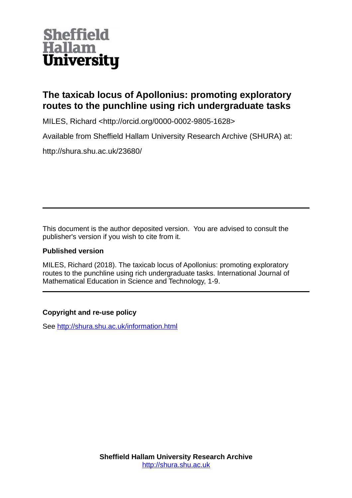

# **The taxicab locus of Apollonius: promoting exploratory routes to the punchline using rich undergraduate tasks**

MILES, Richard <http://orcid.org/0000-0002-9805-1628>

Available from Sheffield Hallam University Research Archive (SHURA) at:

http://shura.shu.ac.uk/23680/

This document is the author deposited version. You are advised to consult the publisher's version if you wish to cite from it.

## **Published version**

MILES, Richard (2018). The taxicab locus of Apollonius: promoting exploratory routes to the punchline using rich undergraduate tasks. International Journal of Mathematical Education in Science and Technology, 1-9.

# **Copyright and re-use policy**

See<http://shura.shu.ac.uk/information.html>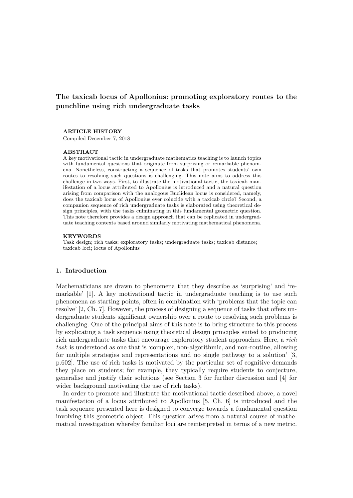# The taxicab locus of Apollonius: promoting exploratory routes to the punchline using rich undergraduate tasks

#### ARTICLE HISTORY

Compiled December 7, 2018

#### ABSTRACT

A key motivational tactic in undergraduate mathematics teaching is to launch topics with fundamental questions that originate from surprising or remarkable phenomena. Nonetheless, constructing a sequence of tasks that promotes students' own routes to resolving such questions is challenging. This note aims to address this challenge in two ways. First, to illustrate the motivational tactic, the taxicab manifestation of a locus attributed to Apollonius is introduced and a natural question arising from comparison with the analogous Euclidean locus is considered, namely, does the taxicab locus of Apollonius ever coincide with a taxicab circle? Second, a companion sequence of rich undergraduate tasks is elaborated using theoretical design principles, with the tasks culminating in this fundamental geometric question. This note therefore provides a design approach that can be replicated in undergraduate teaching contexts based around similarly motivating mathematical phenomena.

#### KEYWORDS

Task design; rich tasks; exploratory tasks; undergraduate tasks; taxicab distance; taxicab loci; locus of Apollonius

### 1. Introduction

Mathematicians are drawn to phenomena that they describe as 'surprising' and 'remarkable' [1]. A key motivational tactic in undergraduate teaching is to use such phenomena as starting points, often in combination with 'problems that the topic can resolve' [2, Ch. 7]. However, the process of designing a sequence of tasks that offers undergraduate students significant ownership over a route to resolving such problems is challenging. One of the principal aims of this note is to bring structure to this process by explicating a task sequence using theoretical design principles suited to producing rich undergraduate tasks that encourage exploratory student approaches. Here, a rich task is understood as one that is 'complex, non-algorithmic, and non-routine, allowing for multiple strategies and representations and no single pathway to a solution' [3, p.602]. The use of rich tasks is motivated by the particular set of cognitive demands they place on students; for example, they typically require students to conjecture, generalise and justify their solutions (see Section 3 for further discussion and [4] for wider background motivating the use of rich tasks).

In order to promote and illustrate the motivational tactic described above, a novel manifestation of a locus attributed to Apollonius [5, Ch. 6] is introduced and the task sequence presented here is designed to converge towards a fundamental question involving this geometric object. This question arises from a natural course of mathematical investigation whereby familiar loci are reinterpreted in terms of a new metric.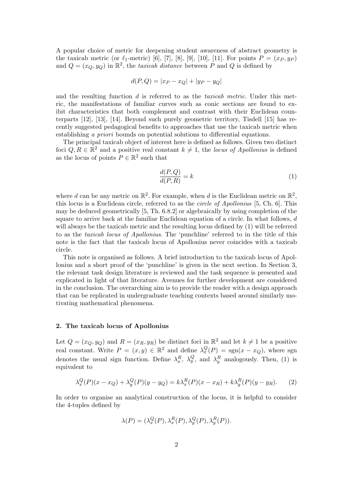A popular choice of metric for deepening student awareness of abstract geometry is the taxicab metric (or  $\ell_1$ -metric) [6], [7], [8], [9], [10], [11]. For points  $P = (x_P, y_P)$ and  $Q = (x_Q, y_Q)$  in  $\mathbb{R}^2$ , the taxicab distance between P and Q is defined by

$$
d(P,Q) = |x_P - x_Q| + |y_P - y_Q|
$$

and the resulting function  $d$  is referred to as the *taxicab metric*. Under this metric, the manifestations of familiar curves such as conic sections are found to exibit characteristics that both complement and contrast with their Euclidean counterparts [12], [13], [14]. Beyond such purely geometric territory, Tisdell [15] has recently suggested pedagogical benefits to approaches that use the taxicab metric when establishing a priori bounds on potential solutions to differential equations.

The principal taxicab object of interest here is defined as follows. Given two distinct foci  $Q, R \in \mathbb{R}^2$  and a positive real constant  $k \neq 1$ , the locus of Apollonius is defined as the locus of points  $P \in \mathbb{R}^2$  such that

$$
\frac{d(P,Q)}{d(P,R)} = k\tag{1}
$$

where d can be any metric on  $\mathbb{R}^2$ . For example, when d is the Euclidean metric on  $\mathbb{R}^2$ , this locus is a Euclidean circle, referred to as the circle of Apollonius [5, Ch. 6]. This may be deduced geometrically [5, Th. 6.8.2] or algebraically by using completion of the square to arrive back at the familiar Euclidean equation of a circle. In what follows, d will always be the taxicab metric and the resulting locus defined by (1) will be referred to as the taxicab locus of Apollonius. The 'punchline' referred to in the title of this note is the fact that the taxicab locus of Apollonius never coincides with a taxicab circle.

This note is organised as follows. A brief introduction to the taxicab locus of Apollonius and a short proof of the 'punchline' is given in the next section. In Section 3, the relevant task design literature is reviewed and the task sequence is presented and explicated in light of that literature. Avenues for further development are considered in the conclusion. The overarching aim is to provide the reader with a design approach that can be replicated in undergraduate teaching contexts based around similarly motivating mathematical phenomena.

#### 2. The taxicab locus of Apollonius

Let  $Q = (x_Q, y_Q)$  and  $R = (x_R, y_R)$  be distinct foci in  $\mathbb{R}^2$  and let  $k \neq 1$  be a positive real constant. Write  $P = (x, y) \in \mathbb{R}^2$  and define  $\lambda_x^Q(P) = \text{sgn}(x - x_Q)$ , where sgn denotes the usual sign function. Define  $\lambda_x^R$ ,  $\lambda_y^Q$ , and  $\lambda_y^R$  analogously. Then, (1) is equivalent to

$$
\lambda_x^Q(P)(x - x_Q) + \lambda_y^Q(P)(y - y_Q) = k \lambda_x^R(P)(x - x_R) + k \lambda_y^R(P)(y - y_R). \tag{2}
$$

In order to organise an analytical construction of the locus, it is helpful to consider the 4-tuples defined by

$$
\lambda(P) = (\lambda_x^Q(P), \lambda_x^R(P), \lambda_y^Q(P), \lambda_y^R(P)).
$$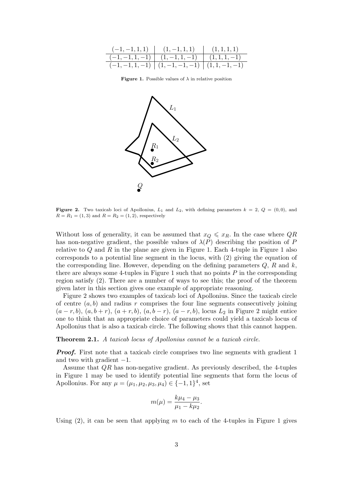| $(-1,-1,1,1)$ $(1,-1,1,1)$ $(1,1,1,1)$               |  |
|------------------------------------------------------|--|
| $\overline{(-1,-1,1,-1)}$ $(1,-1,1,-1)$ $(1,1,1,-1)$ |  |
| $(-1,-1,1,-1)$ $(1,-1,-1,-1)$ $(1,1,-1,-1)$          |  |

**Figure 1.** Possible values of  $\lambda$  in relative position



**Figure 2.** Two taxicab loci of Apollonius,  $L_1$  and  $L_2$ , with defining parameters  $k = 2$ ,  $Q = (0, 0)$ , and  $R = R_1 = (1, 3)$  and  $R = R_2 = (1, 2)$ , respectively

Without loss of generality, it can be assumed that  $x_Q \leq x_R$ . In the case where  $QR$ has non-negative gradient, the possible values of  $\lambda(P)$  describing the position of P relative to  $Q$  and  $R$  in the plane are given in Figure 1. Each 4-tuple in Figure 1 also corresponds to a potential line segment in the locus, with (2) giving the equation of the corresponding line. However, depending on the defining parameters  $Q, R$  and  $k$ , there are always some 4-tuples in Figure 1 such that no points  $P$  in the corresponding region satisfy (2). There are a number of ways to see this; the proof of the theorem given later in this section gives one example of appropriate reasoning.

Figure 2 shows two examples of taxicab loci of Apollonius. Since the taxicab circle of centre  $(a, b)$  and radius r comprises the four line segments consecutively joining  $(a - r, b), (a, b + r), (a + r, b), (a, b - r), (a - r, b)$ , locus  $L_2$  in Figure 2 might entice one to think that an appropriate choice of parameters could yield a taxicab locus of Apollonius that is also a taxicab circle. The following shows that this cannot happen.

Theorem 2.1. A taxicab locus of Apollonius cannot be a taxicab circle.

**Proof.** First note that a taxicab circle comprises two line segments with gradient 1 and two with gradient  $-1$ .

Assume that QR has non-negative gradient. As previously described, the 4-tuples in Figure 1 may be used to identify potential line segments that form the locus of Apollonius. For any  $\mu = (\mu_1, \mu_2, \mu_3, \mu_4) \in \{-1, 1\}^4$ , set

$$
m(\mu) = \frac{k\mu_4 - \mu_3}{\mu_1 - k\mu_2}.
$$

Using  $(2)$ , it can be seen that applying m to each of the 4-tuples in Figure 1 gives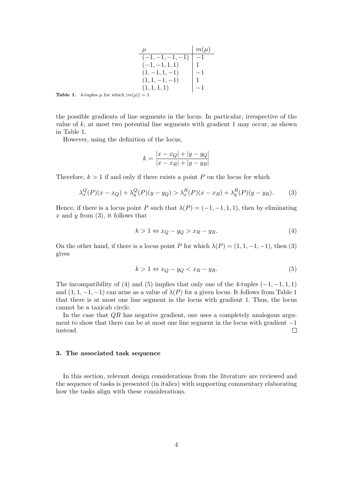| $\mu$                             | $m(\mu)$ |
|-----------------------------------|----------|
| $\overline{(-1,-1,-1,-1)}$   $-1$ |          |
| $(-1,-1,1,1)$                     |          |
| $(1, -1, 1, -1)$                  | $-1$     |
| $(1, 1, -1, -1)$                  |          |
| (1, 1, 1, 1)                      | $ -1$    |
| . 1 ــ ا                          |          |

**Table 1.** 4-tuples  $\mu$  for which  $|m(\mu)| = 1$ 

the possible gradients of line segments in the locus. In particular, irrespective of the value of  $k$ , at most two potential line segments with gradient 1 may occur, as shown in Table 1.

However, using the definition of the locus,

$$
k = \frac{|x - x_Q| + |y - y_Q|}{|x - x_R| + |y - y_R|}
$$

Therefore,  $k > 1$  if and only if there exists a point P on the locus for which

$$
\lambda_x^Q(P)(x - x_Q) + \lambda_y^Q(P)(y - y_Q) > \lambda_x^R(P)(x - x_R) + \lambda_y^R(P)(y - y_R). \tag{3}
$$

Hence, if there is a locus point P such that  $\lambda(P) = (-1, -1, 1, 1)$ , then by eliminating x and y from  $(3)$ , it follows that

$$
k > 1 \Leftrightarrow x_Q - y_Q > x_R - y_R. \tag{4}
$$

On the other hand, if there is a locus point P for which  $\lambda(P) = (1, 1, -1, -1)$ , then (3) gives

$$
k > 1 \Leftrightarrow x_Q - y_Q < x_R - y_R. \tag{5}
$$

The incompatibility of (4) and (5) implies that only one of the 4-tuples  $(-1, -1, 1, 1)$ and  $(1, 1, -1, -1)$  can arise as a value of  $\lambda(P)$  for a given locus. It follows from Table 1 that there is at most one line segment in the locus with gradient 1. Thus, the locus cannot be a taxicab circle.

In the case that  $QR$  has negative gradient, one uses a completely analogous argument to show that there can be at most one line segment in the locus with gradient −1 instead.  $\Box$ 

#### 3. The associated task sequence

In this section, relevant design considerations from the literature are reviewed and the sequence of tasks is presented (in italics) with supporting commentary elaborating how the tasks align with these considerations.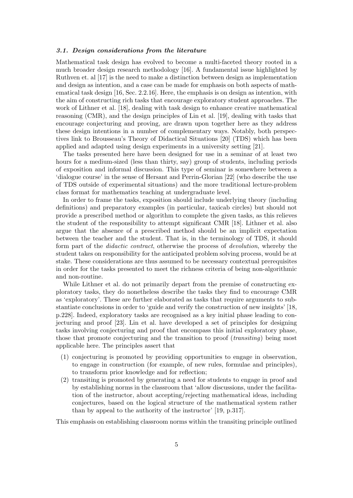### 3.1. Design considerations from the literature

Mathematical task design has evolved to become a multi-faceted theory rooted in a much broader design research methodology [16]. A fundamental issue highlighted by Ruthven et. al [17] is the need to make a distinction between design as implementation and design as intention, and a case can be made for emphasis on both aspects of mathematical task design [16, Sec. 2.2.16]. Here, the emphasis is on design as intention, with the aim of constructing rich tasks that encourage exploratory student approaches. The work of Lithner et al. [18], dealing with task design to enhance creative mathematical reasoning (CMR), and the design principles of Lin et al. [19], dealing with tasks that encourage conjecturing and proving, are drawn upon together here as they address these design intentions in a number of complementary ways. Notably, both perspectives link to Brousseau's Theory of Didactical Situations [20] (TDS) which has been applied and adapted using design experiments in a university setting [21].

The tasks presented here have been designed for use in a seminar of at least two hours for a medium-sized (less than thirty, say) group of students, including periods of exposition and informal discussion. This type of seminar is somewhere between a 'dialogue course' in the sense of Hersant and Perrin-Glorian [22] (who describe the use of TDS outside of experimental situations) and the more traditional lecture-problem class format for mathematics teaching at undergraduate level.

In order to frame the tasks, exposition should include underlying theory (including definitions) and preparatory examples (in particular, taxicab circles) but should not provide a prescribed method or algorithm to complete the given tasks, as this relieves the student of the responsibility to attempt significant CMR [18]. Lithner et al. also argue that the absence of a prescribed method should be an implicit expectation between the teacher and the student. That is, in the terminology of TDS, it should form part of the didactic contract, otherwise the process of devolution, whereby the student takes on responsibility for the anticipated problem solving process, would be at stake. These considerations are thus assumed to be necessary contextual prerequisites in order for the tasks presented to meet the richness criteria of being non-algorithmic and non-routine.

While Lithner et al. do not primarily depart from the premise of constructing exploratory tasks, they do nonetheless describe the tasks they find to encourage CMR as 'exploratory'. These are further elaborated as tasks that require arguments to substantiate conclusions in order to 'guide and verify the construction of new insights' [18, p.228]. Indeed, exploratory tasks are recognised as a key initial phase leading to conjecturing and proof [23]. Lin et al. have developed a set of principles for designing tasks involving conjecturing and proof that encompass this initial exploratory phase, those that promote conjecturing and the transition to proof (transiting) being most applicable here. The principles assert that

- (1) conjecturing is promoted by providing opportunities to engage in observation, to engage in construction (for example, of new rules, formulae and principles), to transform prior knowledge and for reflection;
- (2) transiting is promoted by generating a need for students to engage in proof and by establishing norms in the classroom that 'allow discussions, under the facilitation of the instructor, about accepting/rejecting mathematical ideas, including conjectures, based on the logical structure of the mathematical system rather than by appeal to the authority of the instructor' [19, p.317].

This emphasis on establishing classroom norms within the transiting principle outlined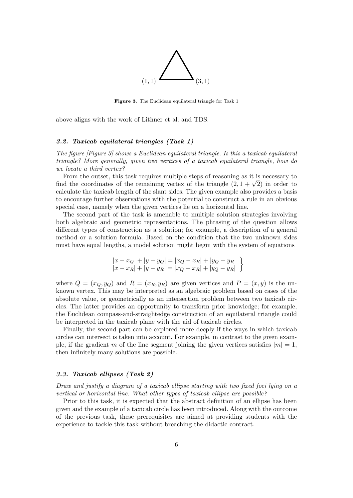

Figure 3. The Euclidean equilateral triangle for Task 1

above aligns with the work of Lithner et al. and TDS.

#### 3.2. Taxicab equilateral triangles (Task 1)

The figure [Figure 3] shows a Euclidean equilateral triangle. Is this a taxicab equilateral triangle? More generally, given two vertices of a taxicab equilateral triangle, how do we locate a third vertex?

From the outset, this task requires multiple steps of reasoning as it is necessary to From the outset, this task requires multiple steps of reasoning as it is necessary to find the coordinates of the remaining vertex of the triangle  $(2, 1 + \sqrt{2})$  in order to calculate the taxicab length of the slant sides. The given example also provides a basis to encourage further observations with the potential to construct a rule in an obvious special case, namely when the given vertices lie on a horizontal line.

The second part of the task is amenable to multiple solution strategies involving both algebraic and geometric representations. The phrasing of the question allows different types of construction as a solution; for example, a description of a general method or a solution formula. Based on the condition that the two unknown sides must have equal lengths, a model solution might begin with the system of equations

$$
\begin{aligned}\n|x - x_Q| + |y - y_Q| &= |x_Q - x_R| + |y_Q - y_R| \\
|x - x_R| + |y - y_R| &= |x_Q - x_R| + |y_Q - y_R| \n\end{aligned}
$$

where  $Q = (x_Q, y_Q)$  and  $R = (x_R, y_R)$  are given vertices and  $P = (x, y)$  is the unknown vertex. This may be interpreted as an algebraic problem based on cases of the absolute value, or geometrically as an intersection problem between two taxicab circles. The latter provides an opportunity to transform prior knowledge; for example, the Euclidean compass-and-straightedge construction of an equilateral triangle could be interpreted in the taxicab plane with the aid of taxicab circles.

Finally, the second part can be explored more deeply if the ways in which taxicab circles can intersect is taken into account. For example, in contrast to the given example, if the gradient m of the line segment joining the given vertices satisfies  $|m|=1$ , then infinitely many solutions are possible.

#### 3.3. Taxicab ellipses (Task 2)

Draw and justify a diagram of a taxicab ellipse starting with two fixed foci lying on a vertical or horizontal line. What other types of taxicab ellipse are possible?

Prior to this task, it is expected that the abstract definition of an ellipse has been given and the example of a taxicab circle has been introduced. Along with the outcome of the previous task, these prerequisites are aimed at providing students with the experience to tackle this task without breaching the didactic contract.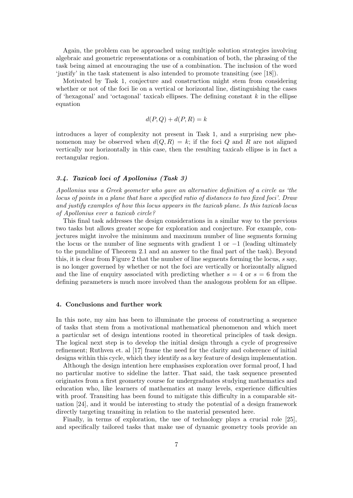Again, the problem can be approached using multiple solution strategies involving algebraic and geometric representations or a combination of both, the phrasing of the task being aimed at encouraging the use of a combination. The inclusion of the word 'justify' in the task statement is also intended to promote transiting (see [18]).

Motivated by Task 1, conjecture and construction might stem from considering whether or not of the foci lie on a vertical or horizontal line, distinguishing the cases of 'hexagonal' and 'octagonal' taxicab ellipses. The defining constant  $k$  in the ellipse equation

$$
d(P,Q) + d(P,R) = k
$$

introduces a layer of complexity not present in Task 1, and a surprising new phenomenon may be observed when  $d(Q, R) = k$ ; if the foci Q and R are not aligned vertically nor horizontally in this case, then the resulting taxicab ellipse is in fact a rectangular region.

### 3.4. Taxicab loci of Apollonius (Task 3)

Apollonius was a Greek geometer who gave an alternative definition of a circle as 'the locus of points in a plane that have a specified ratio of distances to two fixed foci'. Draw and justify examples of how this locus appears in the taxicab plane. Is this taxicab locus of Apollonius ever a taxicab circle?

This final task addresses the design considerations in a similar way to the previous two tasks but allows greater scope for exploration and conjecture. For example, conjectures might involve the minimum and maximum number of line segments forming the locus or the number of line segments with gradient 1 or  $-1$  (leading ultimately to the punchline of Theorem 2.1 and an answer to the final part of the task). Beyond this, it is clear from Figure 2 that the number of line segments forming the locus, s say, is no longer governed by whether or not the foci are vertically or horizontally aligned and the line of enquiry associated with predicting whether  $s = 4$  or  $s = 6$  from the defining parameters is much more involved than the analogous problem for an ellipse.

#### 4. Conclusions and further work

In this note, my aim has been to illuminate the process of constructing a sequence of tasks that stem from a motivational mathematical phenomenon and which meet a particular set of design intentions rooted in theoretical principles of task design. The logical next step is to develop the initial design through a cycle of progressive refinement; Ruthven et. al [17] frame the need for the clarity and coherence of initial designs within this cycle, which they identify as a key feature of design implementation.

Although the design intention here emphasises exploration over formal proof, I had no particular motive to sideline the latter. That said, the task sequence presented originates from a first geometry course for undergraduates studying mathematics and education who, like learners of mathematics at many levels, experience difficulties with proof. Transiting has been found to mitigate this difficulty in a comparable situation [24], and it would be interesting to study the potential of a design framework directly targeting transiting in relation to the material presented here.

Finally, in terms of exploration, the use of technology plays a crucial role [25], and specifically tailored tasks that make use of dynamic geometry tools provide an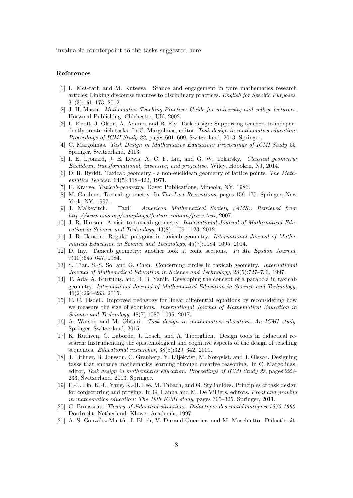invaluable counterpoint to the tasks suggested here.

#### References

- [1] L. McGrath and M. Kuteeva. Stance and engagement in pure mathematics research articles: Linking discourse features to disciplinary practices. English for Specific Purposes, 31(3):161–173, 2012.
- [2] J. H. Mason. Mathematics Teaching Practice: Guide for university and college lecturers. Horwood Publishing, Chichester, UK, 2002.
- [3] L. Knott, J. Olson, A. Adams, and R. Ely. Task design: Supporting teachers to independently create rich tasks. In C. Margolinas, editor, Task design in mathematics education: Proceedings of ICMI Study 22, pages 601–609, Switzerland, 2013. Springer.
- [4] C. Margolinas. Task Design in Mathematics Education: Proceedings of ICMI Study 22. Springer, Switzerland, 2013.
- [5] I. E. Leonard, J. E. Lewis, A. C. F. Liu, and G. W. Tokarsky. Classical geometry: Euclidean, transformational, inversive, and projective. Wiley, Hoboken, NJ, 2014.
- [6] D. R. Byrkit. Taxicab geometry a non-euclidean geometry of lattice points. The Mathematics Teacher, 64(5):418–422, 1971.
- [7] E. Krause. Taxicab-geometry. Dover Publications, Mineola, NY, 1986.
- [8] M. Gardner. Taxicab geometry. In The Last Recreations, pages 159–175. Springer, New York, NY, 1997.
- [9] J. Malkevitch. Taxi! American Mathematical Society (AMS). Retrieved from http://www.ams.org/samplings/feature-column/fcarc-taxi, 2007.
- [10] J. R. Hanson. A visit to taxicab geometry. International Journal of Mathematical Education in Science and Technology, 43(8):1109–1123, 2012.
- [11] J. R. Hanson. Regular polygons in taxicab geometry. International Journal of Mathematical Education in Science and Technology, 45(7):1084–1095, 2014.
- [12] D. Iny. Taxicab geometry: another look at conic sections. Pi Mu Epsilon Journal, 7(10):645–647, 1984.
- [13] S. Tian, S.-S. So, and G. Chen. Concerning circles in taxicab geometry. *International* Journal of Mathematical Education in Science and Technology, 28(5):727–733, 1997.
- [14] T. Ada, A. Kurtuluş, and H. B. Yanik. Developing the concept of a parabola in taxicab geometry. International Journal of Mathematical Education in Science and Technology, 46(2):264–283, 2015.
- [15] C. C. Tisdell. Improved pedagogy for linear differential equations by reconsidering how we measure the size of solutions. International Journal of Mathematical Education in Science and Technology, 48(7):1087–1095, 2017.
- [16] A. Watson and M. Ohtani. Task design in mathematics education: An ICMI study. Springer, Switzerland, 2015.
- [17] K. Ruthven, C. Laborde, J. Leach, and A. Tiberghien. Design tools in didactical research: Instrumenting the epistemological and cognitive aspects of the design of teaching sequences. Educational researcher, 38(5):329–342, 2009.
- [18] J. Lithner, B. Jonsson, C. Granberg, Y. Liljekvist, M. Norqvist, and J. Olsson. Designing tasks that enhance mathematics learning through creative reasoning. In C. Margolinas, editor, Task design in mathematics education: Proceedings of ICMI Study 22, pages 223– 233, Switzerland, 2013. Springer.
- [19] F.-L. Lin, K.-L. Yang, K.-H. Lee, M. Tabach, and G. Stylianides. Principles of task design for conjecturing and proving. In G. Hanna and M. De Villiers, editors, Proof and proving in mathematics education: The 19th ICMI study, pages 305–325. Springer, 2011.
- [20] G. Brousseau. Theory of didactical situations. Didactique des mathématiques 1970-1990. Dordrecht, Netherland: Kluwer Academic, 1997.
- [21] A. S. González-Martín, I. Bloch, V. Durand-Guerrier, and M. Maschietto. Didactic sit-